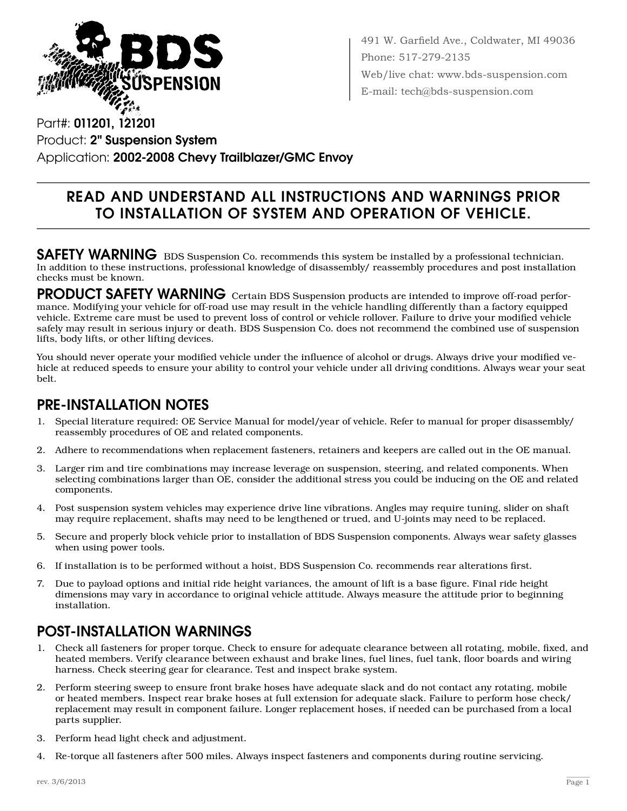

491 W. Garfield Ave., Coldwater, MI 49036 Phone: 517-279-2135 Web/live chat: www.bds-suspension.com E-mail: tech@bds-suspension.com

Part#: 011201, 121201 Product: 2" Suspension System Application: 2002-2008 Chevy Trailblazer/GMC Envoy

## Read and understand all instructions and warnings prior to installation of system and operation of vehicle.

SAFETY WARNING BDS Suspension Co. recommends this system be installed by a professional technician. In addition to these instructions, professional knowledge of disassembly/ reassembly procedures and post installation checks must be known.

PRODUCT SAFETY WARNING Certain BDS Suspension products are intended to improve off-road performance. Modifying your vehicle for off-road use may result in the vehicle handling differently than a factory equipped vehicle. Extreme care must be used to prevent loss of control or vehicle rollover. Failure to drive your modified vehicle safely may result in serious injury or death. BDS Suspension Co. does not recommend the combined use of suspension lifts, body lifts, or other lifting devices.

You should never operate your modified vehicle under the influence of alcohol or drugs. Always drive your modified vehicle at reduced speeds to ensure your ability to control your vehicle under all driving conditions. Always wear your seat belt.

## Pre-Installation Notes

- 1. Special literature required: OE Service Manual for model/year of vehicle. Refer to manual for proper disassembly/ reassembly procedures of OE and related components.
- 2. Adhere to recommendations when replacement fasteners, retainers and keepers are called out in the OE manual.
- 3. Larger rim and tire combinations may increase leverage on suspension, steering, and related components. When selecting combinations larger than OE, consider the additional stress you could be inducing on the OE and related components.
- 4. Post suspension system vehicles may experience drive line vibrations. Angles may require tuning, slider on shaft may require replacement, shafts may need to be lengthened or trued, and U-joints may need to be replaced.
- 5. Secure and properly block vehicle prior to installation of BDS Suspension components. Always wear safety glasses when using power tools.
- 6. If installation is to be performed without a hoist, BDS Suspension Co. recommends rear alterations first.
- 7. Due to payload options and initial ride height variances, the amount of lift is a base figure. Final ride height dimensions may vary in accordance to original vehicle attitude. Always measure the attitude prior to beginning installation.

## POST-INSTALLATION WARNINGS

- 1. Check all fasteners for proper torque. Check to ensure for adequate clearance between all rotating, mobile, fixed, and heated members. Verify clearance between exhaust and brake lines, fuel lines, fuel tank, floor boards and wiring harness. Check steering gear for clearance. Test and inspect brake system.
- 2. Perform steering sweep to ensure front brake hoses have adequate slack and do not contact any rotating, mobile or heated members. Inspect rear brake hoses at full extension for adequate slack. Failure to perform hose check/ replacement may result in component failure. Longer replacement hoses, if needed can be purchased from a local parts supplier.
- 3. Perform head light check and adjustment.
- 4. Re-torque all fasteners after 500 miles. Always inspect fasteners and components during routine servicing.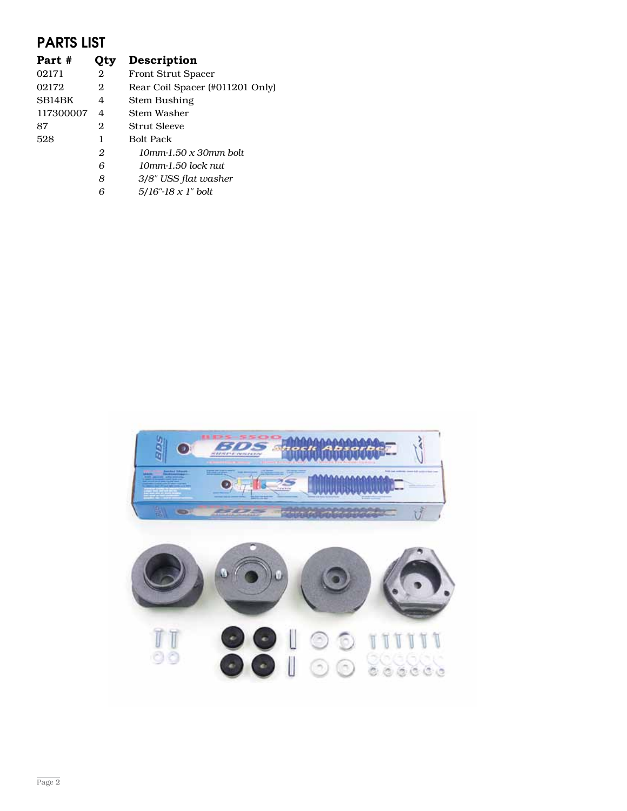## PARTS LIST

| Otv | <b>Description</b>              |
|-----|---------------------------------|
| 2   | <b>Front Strut Spacer</b>       |
| 2   | Rear Coil Spacer (#011201 Only) |
| 4   | Stem Bushing                    |
| 4   | Stem Washer                     |
| 2   | Strut Sleeve                    |
| 1   | <b>Bolt Pack</b>                |
| 2   | $10$ mm-1.50 x 30mm bolt        |
| 6   | 10mm-1.50 lock nut              |
| 8   | 3/8" USS flat washer            |
| 6   | $5/16$ "-18 x 1" bolt           |
|     |                                 |

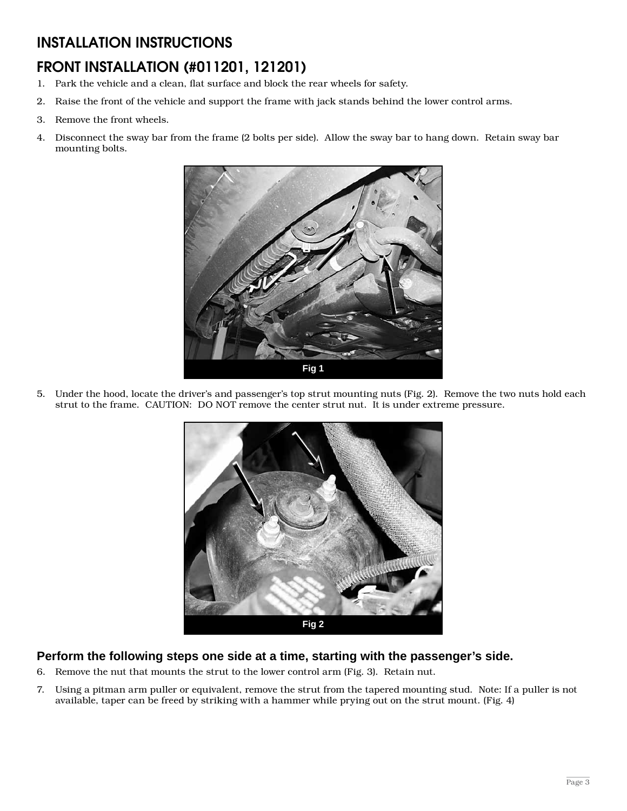## INSTALLATION INSTRUCTIONS

# Front Installation (#011201, 121201)

- 1. Park the vehicle and a clean, flat surface and block the rear wheels for safety.
- 2. Raise the front of the vehicle and support the frame with jack stands behind the lower control arms.
- 3. Remove the front wheels.
- 4. Disconnect the sway bar from the frame (2 bolts per side). Allow the sway bar to hang down. Retain sway bar mounting bolts.



5. Under the hood, locate the driver's and passenger's top strut mounting nuts (Fig. 2). Remove the two nuts hold each strut to the frame. CAUTION: DO NOT remove the center strut nut. It is under extreme pressure.



#### **Perform the following steps one side at a time, starting with the passenger's side.**

- 6. Remove the nut that mounts the strut to the lower control arm (Fig. 3). Retain nut.
- 7. Using a pitman arm puller or equivalent, remove the strut from the tapered mounting stud. Note: If a puller is not available, taper can be freed by striking with a hammer while prying out on the strut mount. (Fig. 4)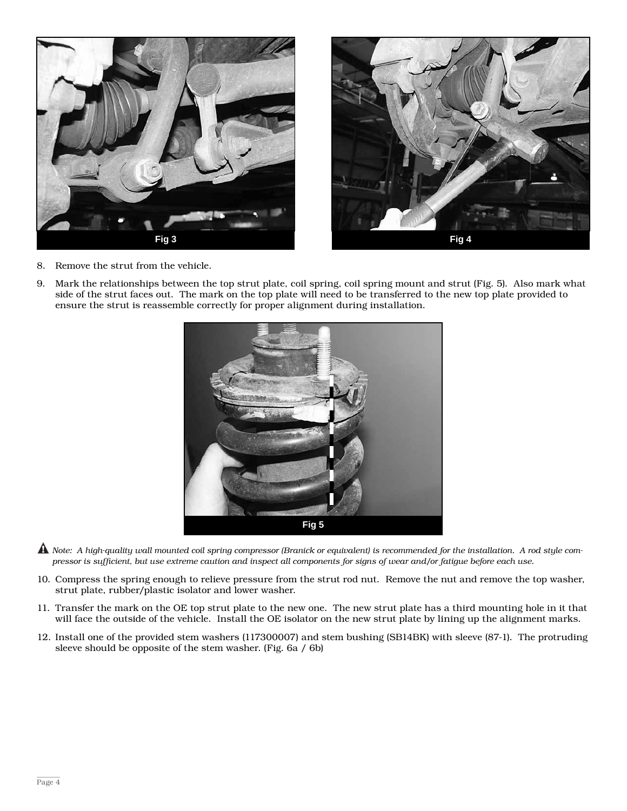



- 8. Remove the strut from the vehicle.
- 9. Mark the relationships between the top strut plate, coil spring, coil spring mount and strut (Fig. 5). Also mark what side of the strut faces out. The mark on the top plate will need to be transferred to the new top plate provided to ensure the strut is reassemble correctly for proper alignment during installation.



- A Note: A high-quality wall mounted coil spring compressor (Branick or equivalent) is recommended for the installation. A rod style compressor is sufficient, but use extreme caution and inspect all components for signs of wear and/or fatigue before each use.
- 10. Compress the spring enough to relieve pressure from the strut rod nut. Remove the nut and remove the top washer, strut plate, rubber/plastic isolator and lower washer.
- 11. Transfer the mark on the OE top strut plate to the new one. The new strut plate has a third mounting hole in it that will face the outside of the vehicle. Install the OE isolator on the new strut plate by lining up the alignment marks.
- 12. Install one of the provided stem washers (117300007) and stem bushing (SB14BK) with sleeve (87-1). The protruding sleeve should be opposite of the stem washer. (Fig. 6a / 6b)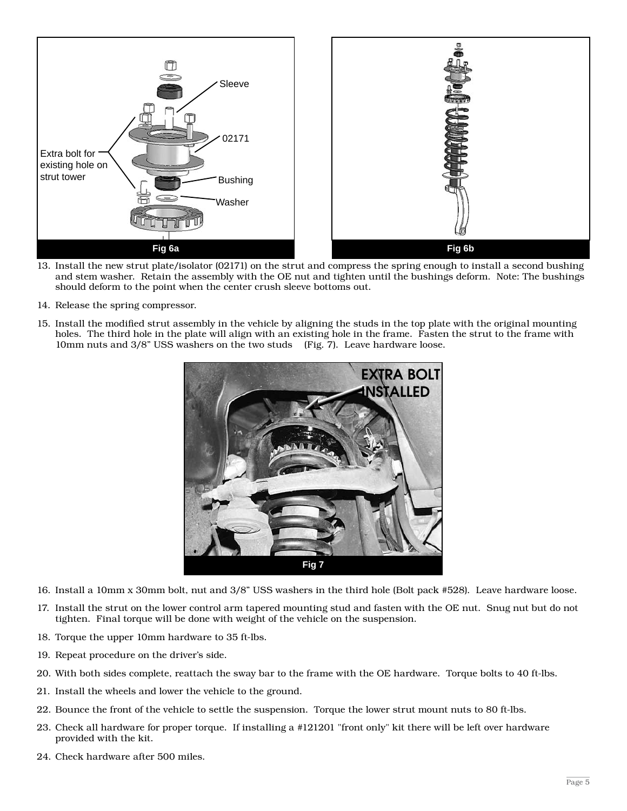

- 13. Install the new strut plate/isolator (02171) on the strut and compress the spring enough to install a second bushing and stem washer. Retain the assembly with the OE nut and tighten until the bushings deform. Note: The bushings should deform to the point when the center crush sleeve bottoms out.
- 14. Release the spring compressor.
- 15. Install the modified strut assembly in the vehicle by aligning the studs in the top plate with the original mounting holes. The third hole in the plate will align with an existing hole in the frame. Fasten the strut to the frame with 10mm nuts and 3/8" USS washers on the two studs (Fig. 7). Leave hardware loose.



- 16. Install a 10mm x 30mm bolt, nut and 3/8" USS washers in the third hole (Bolt pack #528). Leave hardware loose.
- 17. Install the strut on the lower control arm tapered mounting stud and fasten with the OE nut. Snug nut but do not tighten. Final torque will be done with weight of the vehicle on the suspension.
- 18. Torque the upper 10mm hardware to 35 ft-lbs.
- 19. Repeat procedure on the driver's side.
- 20. With both sides complete, reattach the sway bar to the frame with the OE hardware. Torque bolts to 40 ft-lbs.
- 21. Install the wheels and lower the vehicle to the ground.
- 22. Bounce the front of the vehicle to settle the suspension. Torque the lower strut mount nuts to 80 ft-lbs.
- 23. Check all hardware for proper torque. If installing a #121201 "front only" kit there will be left over hardware provided with the kit.
- 24. Check hardware after 500 miles.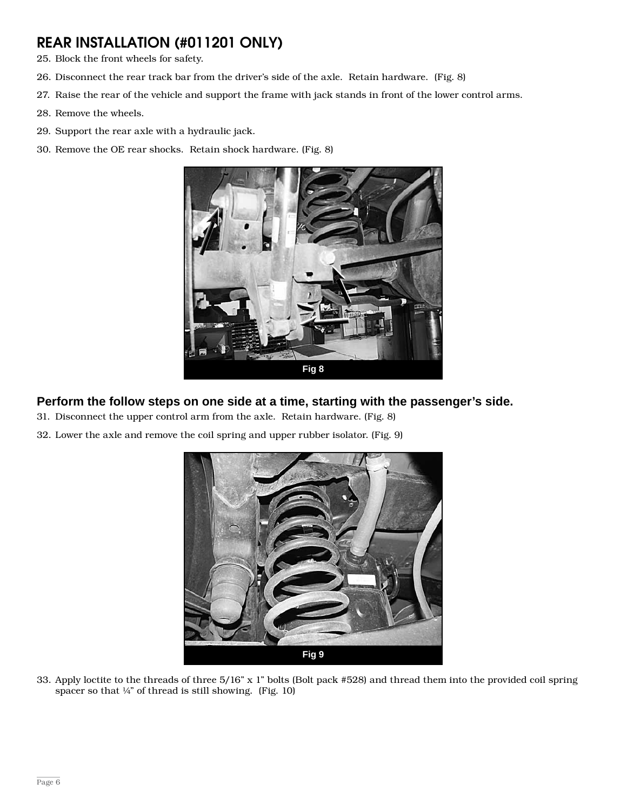## Rear Installation (#011201 Only)

- 25. Block the front wheels for safety.
- 26. Disconnect the rear track bar from the driver's side of the axle. Retain hardware. (Fig. 8)
- 27. Raise the rear of the vehicle and support the frame with jack stands in front of the lower control arms.
- 28. Remove the wheels.
- 29. Support the rear axle with a hydraulic jack.
- 30. Remove the OE rear shocks. Retain shock hardware. (Fig. 8)



### **Perform the follow steps on one side at a time, starting with the passenger's side.**

- 31. Disconnect the upper control arm from the axle. Retain hardware. (Fig. 8)
- 32. Lower the axle and remove the coil spring and upper rubber isolator. (Fig. 9)



33. Apply loctite to the threads of three 5/16" x 1" bolts (Bolt pack #528) and thread them into the provided coil spring spacer so that  $\frac{1}{4}$ " of thread is still showing. (Fig. 10)